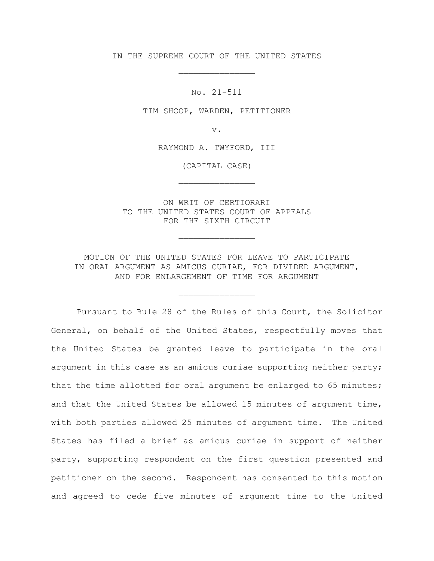IN THE SUPREME COURT OF THE UNITED STATES

\_\_\_\_\_\_\_\_\_\_\_\_\_\_\_

No. 21-511

TIM SHOOP, WARDEN, PETITIONER

v.

RAYMOND A. TWYFORD, III

(CAPITAL CASE)

\_\_\_\_\_\_\_\_\_\_\_\_\_\_\_

ON WRIT OF CERTIORARI TO THE UNITED STATES COURT OF APPEALS FOR THE SIXTH CIRCUIT

\_\_\_\_\_\_\_\_\_\_\_\_\_\_\_

MOTION OF THE UNITED STATES FOR LEAVE TO PARTICIPATE IN ORAL ARGUMENT AS AMICUS CURIAE, FOR DIVIDED ARGUMENT, AND FOR ENLARGEMENT OF TIME FOR ARGUMENT

\_\_\_\_\_\_\_\_\_\_\_\_\_\_\_

Pursuant to Rule 28 of the Rules of this Court, the Solicitor General, on behalf of the United States, respectfully moves that the United States be granted leave to participate in the oral argument in this case as an amicus curiae supporting neither party; that the time allotted for oral argument be enlarged to 65 minutes; and that the United States be allowed 15 minutes of argument time, with both parties allowed 25 minutes of argument time. The United States has filed a brief as amicus curiae in support of neither party, supporting respondent on the first question presented and petitioner on the second. Respondent has consented to this motion and agreed to cede five minutes of argument time to the United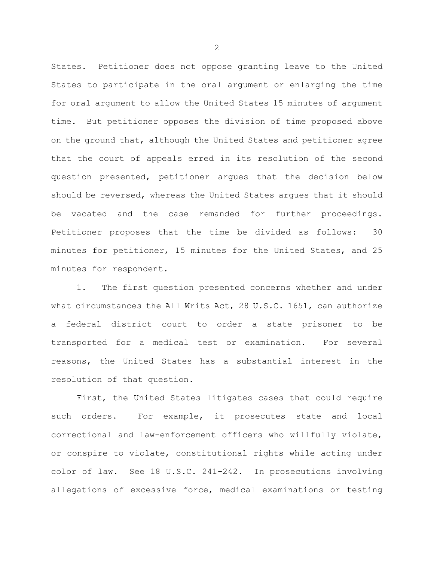States. Petitioner does not oppose granting leave to the United States to participate in the oral argument or enlarging the time for oral argument to allow the United States 15 minutes of argument time. But petitioner opposes the division of time proposed above on the ground that, although the United States and petitioner agree that the court of appeals erred in its resolution of the second question presented, petitioner argues that the decision below should be reversed, whereas the United States argues that it should be vacated and the case remanded for further proceedings. Petitioner proposes that the time be divided as follows: 30 minutes for petitioner, 15 minutes for the United States, and 25 minutes for respondent.

1. The first question presented concerns whether and under what circumstances the All Writs Act, 28 U.S.C. 1651, can authorize a federal district court to order a state prisoner to be transported for a medical test or examination. For several reasons, the United States has a substantial interest in the resolution of that question.

First, the United States litigates cases that could require such orders. For example, it prosecutes state and local correctional and law-enforcement officers who willfully violate, or conspire to violate, constitutional rights while acting under color of law. See 18 U.S.C. 241-242. In prosecutions involving allegations of excessive force, medical examinations or testing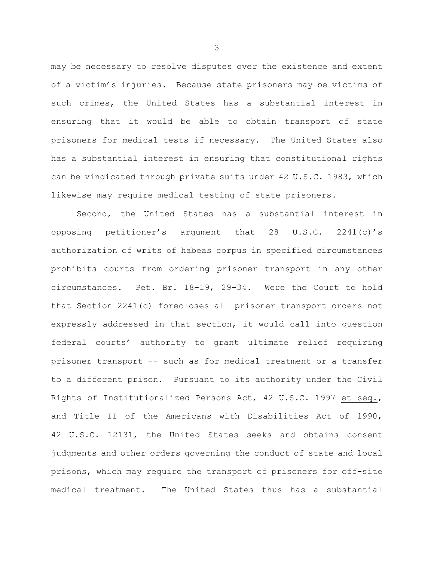may be necessary to resolve disputes over the existence and extent of a victim's injuries. Because state prisoners may be victims of such crimes, the United States has a substantial interest in ensuring that it would be able to obtain transport of state prisoners for medical tests if necessary. The United States also has a substantial interest in ensuring that constitutional rights can be vindicated through private suits under 42 U.S.C. 1983, which likewise may require medical testing of state prisoners.

Second, the United States has a substantial interest in opposing petitioner's argument that 28 U.S.C. 2241(c)'s authorization of writs of habeas corpus in specified circumstances prohibits courts from ordering prisoner transport in any other circumstances. Pet. Br. 18-19, 29-34. Were the Court to hold that Section 2241(c) forecloses all prisoner transport orders not expressly addressed in that section, it would call into question federal courts' authority to grant ultimate relief requiring prisoner transport -- such as for medical treatment or a transfer to a different prison. Pursuant to its authority under the Civil Rights of Institutionalized Persons Act, 42 U.S.C. 1997 et seq., and Title II of the Americans with Disabilities Act of 1990, 42 U.S.C. 12131, the United States seeks and obtains consent judgments and other orders governing the conduct of state and local prisons, which may require the transport of prisoners for off-site medical treatment. The United States thus has a substantial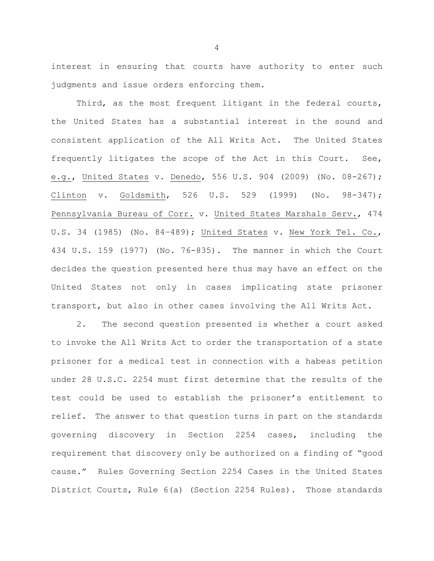interest in ensuring that courts have authority to enter such judgments and issue orders enforcing them.

Third, as the most frequent litigant in the federal courts, the United States has a substantial interest in the sound and consistent application of the All Writs Act. The United States frequently litigates the scope of the Act in this Court. See, e.g., United States v. Denedo, 556 U.S. 904 (2009) (No. 08-267); Clinton v. Goldsmith, 526 U.S. 529 (1999) (No. 98-347); Pennsylvania Bureau of Corr. v. United States Marshals Serv., 474 U.S. 34 (1985) (No. 84–489); United States v. New York Tel. Co., 434 U.S. 159 (1977) (No. 76-835). The manner in which the Court decides the question presented here thus may have an effect on the United States not only in cases implicating state prisoner transport, but also in other cases involving the All Writs Act.

2. The second question presented is whether a court asked to invoke the All Writs Act to order the transportation of a state prisoner for a medical test in connection with a habeas petition under 28 U.S.C. 2254 must first determine that the results of the test could be used to establish the prisoner's entitlement to relief. The answer to that question turns in part on the standards governing discovery in Section 2254 cases, including the requirement that discovery only be authorized on a finding of "good cause." Rules Governing Section 2254 Cases in the United States District Courts, Rule 6(a) (Section 2254 Rules). Those standards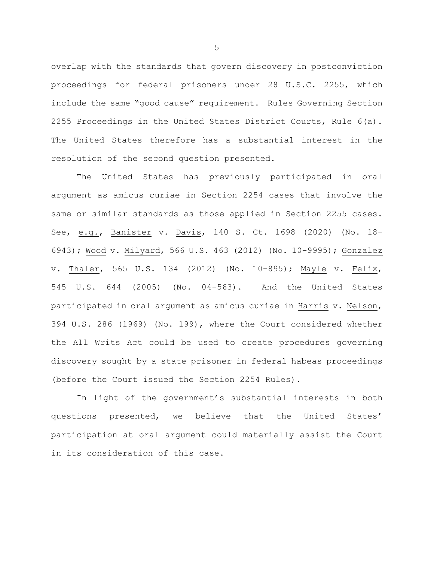overlap with the standards that govern discovery in postconviction proceedings for federal prisoners under 28 U.S.C. 2255, which include the same "good cause" requirement. Rules Governing Section 2255 Proceedings in the United States District Courts, Rule 6(a). The United States therefore has a substantial interest in the resolution of the second question presented.

The United States has previously participated in oral argument as amicus curiae in Section 2254 cases that involve the same or similar standards as those applied in Section 2255 cases. See, e.g., Banister v. Davis, 140 S. Ct. 1698 (2020) (No. 18- 6943); Wood v. Milyard, 566 U.S. 463 (2012) (No. 10–9995); Gonzalez v. Thaler, 565 U.S. 134 (2012) (No. 10–895); Mayle v. Felix, 545 U.S. 644 (2005) (No. 04-563). And the United States participated in oral argument as amicus curiae in Harris v. Nelson, 394 U.S. 286 (1969) (No. 199), where the Court considered whether the All Writs Act could be used to create procedures governing discovery sought by a state prisoner in federal habeas proceedings (before the Court issued the Section 2254 Rules).

In light of the government's substantial interests in both questions presented, we believe that the United States' participation at oral argument could materially assist the Court in its consideration of this case.